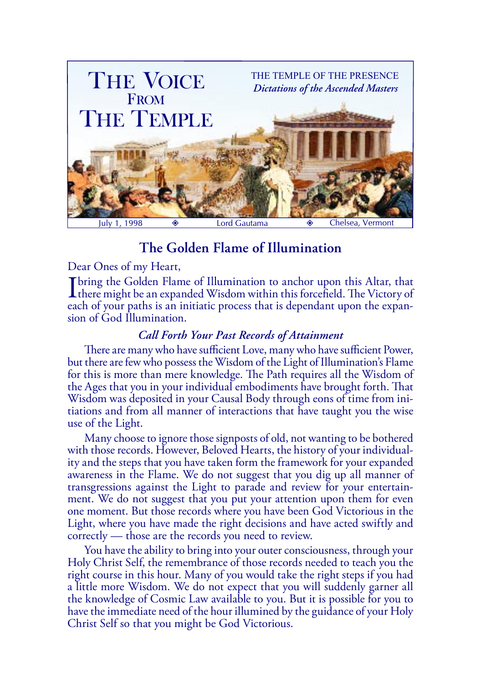

# **The Golden Flame of Illumination**

Dear Ones of my Heart,

I bring the Golden Flame of Illumination to anchor upon this Altar, that there might be an expanded Wisdom within this forcefield. The Victory of each of ways paths is an initiatio process that is dependent upon the event each of your paths is an initiatic process that is dependant upon the expansion of God Illumination.

## *Call Forth Your Past Records of Attainment*

There are many who have sufficient Love, many who have sufficient Power, but there are few who possess the Wisdom of the Light of Illumination's Flame for this is more than mere knowledge. The Path requires all the Wisdom of the Ages that you in your individual embodiments have brought forth. That Wisdom was deposited in your Causal Body through eons of time from initiations and from all manner of interactions that have taught you the wise use of the Light.

Many choose to ignore those signposts of old, not wanting to be bothered with those records. However, Beloved Hearts, the history of your individuality and the steps that you have taken form the framework for your expanded awareness in the Flame. We do not suggest that you dig up all manner of transgressions against the Light to parade and review for your entertainment. We do not suggest that you put your attention upon them for even one moment. But those records where you have been God Victorious in the Light, where you have made the right decisions and have acted swiftly and correctly — those are the records you need to review.

You have the ability to bring into your outer consciousness, through your Holy Christ Self, the remembrance of those records needed to teach you the right course in this hour. Many of you would take the right steps if you had a little more Wisdom. We do not expect that you will suddenly garner all the knowledge of Cosmic Law available to you. But it is possible for you to have the immediate need of the hour illumined by the guidance of your Holy Christ Self so that you might be God Victorious.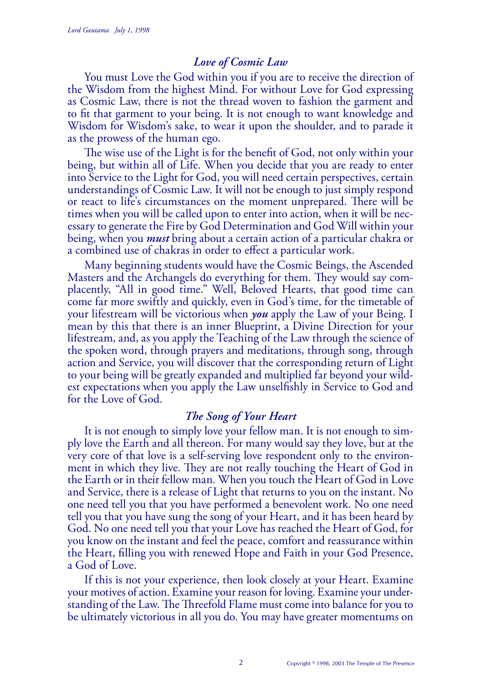#### *Love of Cosmic Law*

You must Love the God within you if you are to receive the direction of the Wisdom from the highest Mind. For without Love for God expressing as Cosmic Law, there is not the thread woven to fashion the garment and to fit that garment to your being. It is not enough to want knowledge and Wisdom for Wisdom's sake, to wear it upon the shoulder, and to parade it as the prowess of the human ego.

The wise use of the Light is for the benefit of God, not only within your being, but within all of Life. When you decide that you are ready to enter into Service to the Light for God, you will need certain perspectives, certain understandings of Cosmic Law. It will not be enough to just simply respond or react to life's circumstances on the moment unprepared. There will be times when you will be called upon to enter into action, when it will be necessary to generate the Fire by God Determination and God Will within your being, when you *must* bring about a certain action of a particular chakra or a combined use of chakras in order to effect a particular work.

Many beginning students would have the Cosmic Beings, the Ascended Masters and the Archangels do everything for them. They would say complacently, "All in good time." Well, Beloved Hearts, that good time can come far more swiftly and quickly, even in God's time, for the timetable of your lifestream will be victorious when *you* apply the Law of your Being. I mean by this that there is an inner Blueprint, a Divine Direction for your lifestream, and, as you apply the Teaching of the Law through the science of the spoken word, through prayers and meditations, through song, through action and Service, you will discover that the corresponding return of Light to your being will be greatly expanded and multiplied far beyond your wildest expectations when you apply the Law unselfishly in Service to God and for the Love of God.

#### *The Song of Your Heart*

It is not enough to simply love your fellow man. It is not enough to simply love the Earth and all thereon. For many would say they love, but at the very core of that love is a self-serving love respondent only to the environment in which they live. They are not really touching the Heart of God in the Earth or in their fellow man. When you touch the Heart of God in Love and Service, there is a release of Light that returns to you on the instant. No one need tell you that you have performed a benevolent work. No one need tell you that you have sung the song of your Heart, and it has been heard by God. No one need tell you that your Love has reached the Heart of God, for you know on the instant and feel the peace, comfort and reassurance within the Heart, filling you with renewed Hope and Faith in your God Presence, a God of Love.

If this is not your experience, then look closely at your Heart. Examine your motives of action. Examine your reason for loving. Examine your understanding of the Law. The Threefold Flame must come into balance for you to be ultimately victorious in all you do. You may have greater momentums on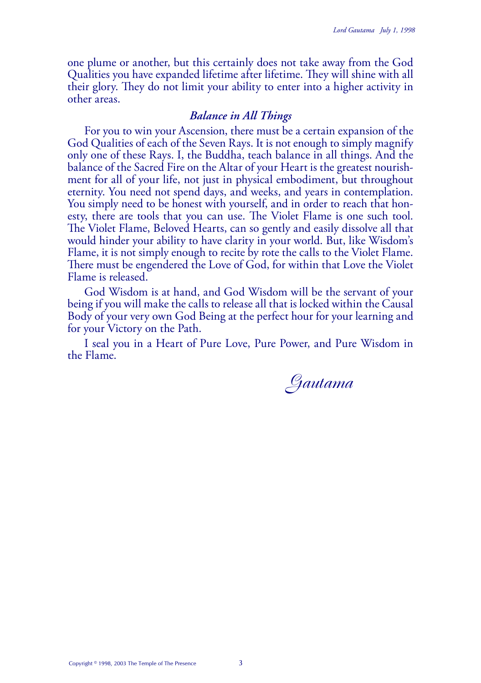one plume or another, but this certainly does not take away from the God Qualities you have expanded lifetime after lifetime. They will shine with all their glory. They do not limit your ability to enter into a higher activity in other areas.

### *Balance in All Things*

For you to win your Ascension, there must be a certain expansion of the God Qualities of each of the Seven Rays. It is not enough to simply magnify only one of these Rays. I, the Buddha, teach balance in all things. And the balance of the Sacred Fire on the Altar of your Heart is the greatest nourishment for all of your life, not just in physical embodiment, but throughout eternity. You need not spend days, and weeks, and years in contemplation. You simply need to be honest with yourself, and in order to reach that honesty, there are tools that you can use. The Violet Flame is one such tool. The Violet Flame, Beloved Hearts, can so gently and easily dissolve all that would hinder your ability to have clarity in your world. But, like Wisdom's Flame, it is not simply enough to recite by rote the calls to the Violet Flame. There must be engendered the Love of God, for within that Love the Violet Flame is released.

God Wisdom is at hand, and God Wisdom will be the servant of your being if you will make the calls to release all that is locked within the Causal Body of your very own God Being at the perfect hour for your learning and for your Victory on the Path.

I seal you in a Heart of Pure Love, Pure Power, and Pure Wisdom in the Flame.

Gautama